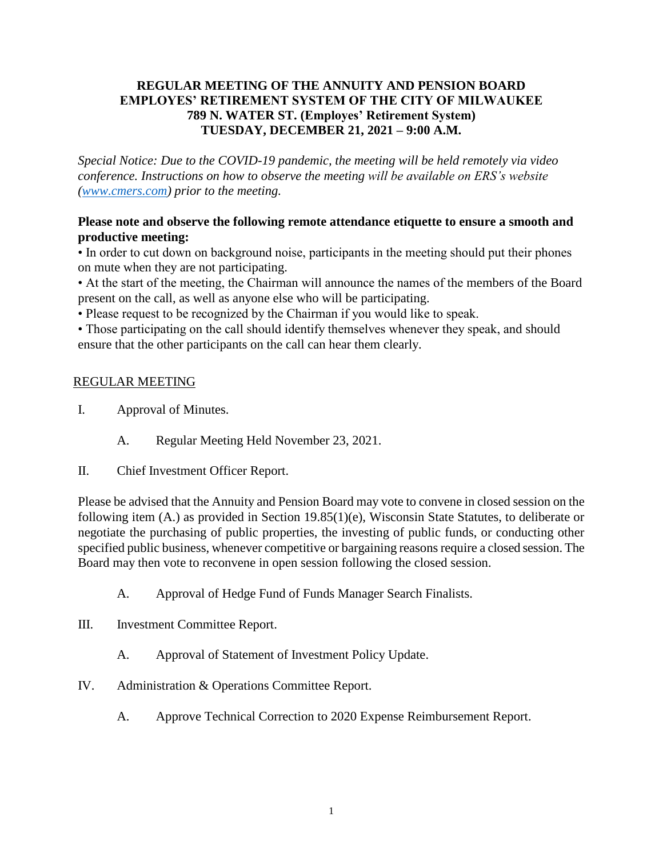## **REGULAR MEETING OF THE ANNUITY AND PENSION BOARD EMPLOYES' RETIREMENT SYSTEM OF THE CITY OF MILWAUKEE 789 N. WATER ST. (Employes' Retirement System) TUESDAY, DECEMBER 21, 2021 – 9:00 A.M.**

*Special Notice: Due to the COVID-19 pandemic, the meeting will be held remotely via video conference. Instructions on how to observe the meeting will be available on ERS's website [\(www.cmers.com\)](http://www.cmers.com/) prior to the meeting.*

## **Please note and observe the following remote attendance etiquette to ensure a smooth and productive meeting:**

• In order to cut down on background noise, participants in the meeting should put their phones on mute when they are not participating.

• At the start of the meeting, the Chairman will announce the names of the members of the Board present on the call, as well as anyone else who will be participating.

• Please request to be recognized by the Chairman if you would like to speak.

• Those participating on the call should identify themselves whenever they speak, and should ensure that the other participants on the call can hear them clearly.

## REGULAR MEETING

- I. Approval of Minutes.
	- A. Regular Meeting Held November 23, 2021.
- II. Chief Investment Officer Report.

Please be advised that the Annuity and Pension Board may vote to convene in closed session on the following item (A.) as provided in Section 19.85(1)(e), Wisconsin State Statutes, to deliberate or negotiate the purchasing of public properties, the investing of public funds, or conducting other specified public business, whenever competitive or bargaining reasons require a closed session. The Board may then vote to reconvene in open session following the closed session.

- A. Approval of Hedge Fund of Funds Manager Search Finalists.
- III. Investment Committee Report.
	- A. Approval of Statement of Investment Policy Update.
- IV. Administration & Operations Committee Report.
	- A. Approve Technical Correction to 2020 Expense Reimbursement Report.